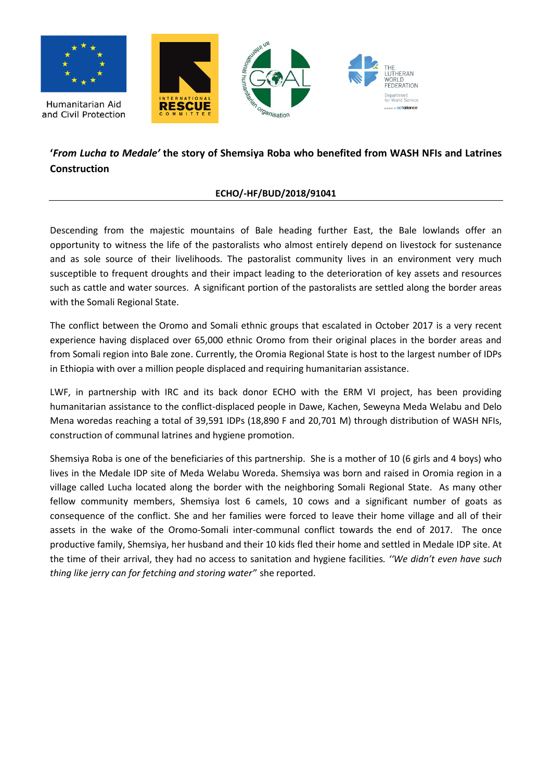

## **'***From Lucha to Medale'* **the story of Shemsiya Roba who benefited from WASH NFIs and Latrines Construction**

## **ECHO/-HF/BUD/2018/91041**

Descending from the majestic mountains of Bale heading further East, the Bale lowlands offer an opportunity to witness the life of the pastoralists who almost entirely depend on livestock for sustenance and as sole source of their livelihoods. The pastoralist community lives in an environment very much susceptible to frequent droughts and their impact leading to the deterioration of key assets and resources such as cattle and water sources. A significant portion of the pastoralists are settled along the border areas with the Somali Regional State.

The conflict between the Oromo and Somali ethnic groups that escalated in October 2017 is a very recent experience having displaced over 65,000 ethnic Oromo from their original places in the border areas and from Somali region into Bale zone. Currently, the Oromia Regional State is host to the largest number of IDPs in Ethiopia with over a million people displaced and requiring humanitarian assistance.

LWF, in partnership with IRC and its back donor ECHO with the ERM VI project, has been providing humanitarian assistance to the conflict-displaced people in Dawe, Kachen, Seweyna Meda Welabu and Delo Mena woredas reaching a total of 39,591 IDPs (18,890 F and 20,701 M) through distribution of WASH NFIs, construction of communal latrines and hygiene promotion.

Shemsiya Roba is one of the beneficiaries of this partnership. She is a mother of 10 (6 girls and 4 boys) who lives in the Medale IDP site of Meda Welabu Woreda. Shemsiya was born and raised in Oromia region in a village called Lucha located along the border with the neighboring Somali Regional State. As many other fellow community members, Shemsiya lost 6 camels, 10 cows and a significant number of goats as consequence of the conflict. She and her families were forced to leave their home village and all of their assets in the wake of the Oromo-Somali inter-communal conflict towards the end of 2017. The once productive family, Shemsiya, her husband and their 10 kids fled their home and settled in Medale IDP site. At the time of their arrival, they had no access to sanitation and hygiene facilities*. ''We didn't even have such thing like jerry can for fetching and storing water'*' she reported.